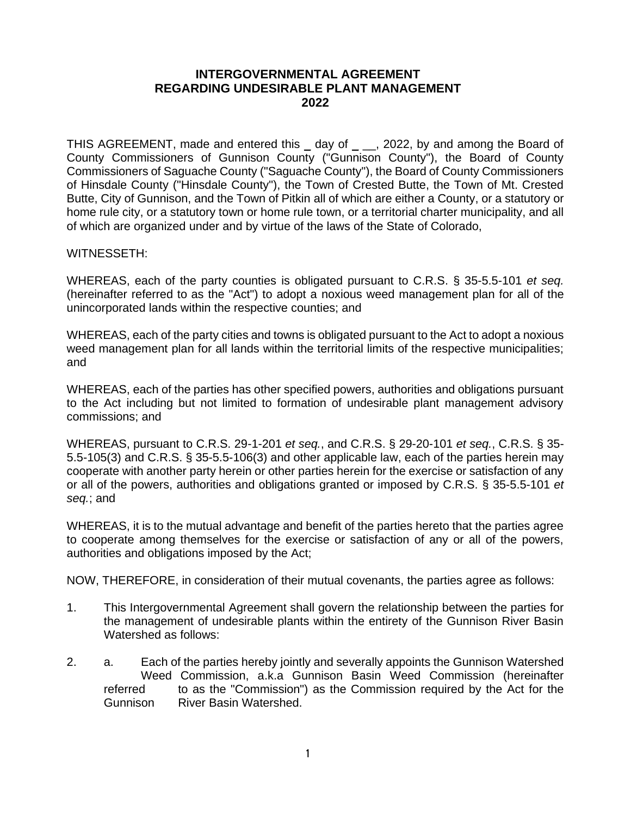## **INTERGOVERNMENTAL AGREEMENT REGARDING UNDESIRABLE PLANT MANAGEMENT 2022**

THIS AGREEMENT, made and entered this \_ day of \_ \_, 2022, by and among the Board of County Commissioners of Gunnison County ("Gunnison County"), the Board of County Commissioners of Saguache County ("Saguache County"), the Board of County Commissioners of Hinsdale County ("Hinsdale County"), the Town of Crested Butte, the Town of Mt. Crested Butte, City of Gunnison, and the Town of Pitkin all of which are either a County, or a statutory or home rule city, or a statutory town or home rule town, or a territorial charter municipality, and all of which are organized under and by virtue of the laws of the State of Colorado,

WITNESSETH:

WHEREAS, each of the party counties is obligated pursuant to C.R.S. § 35-5.5-101 *et seq.* (hereinafter referred to as the "Act") to adopt a noxious weed management plan for all of the unincorporated lands within the respective counties; and

WHEREAS, each of the party cities and towns is obligated pursuant to the Act to adopt a noxious weed management plan for all lands within the territorial limits of the respective municipalities; and

WHEREAS, each of the parties has other specified powers, authorities and obligations pursuant to the Act including but not limited to formation of undesirable plant management advisory commissions; and

WHEREAS, pursuant to C.R.S. 29-1-201 *et seq.*, and C.R.S. § 29-20-101 *et seq.*, C.R.S. § 35- 5.5-105(3) and C.R.S. § 35-5.5-106(3) and other applicable law, each of the parties herein may cooperate with another party herein or other parties herein for the exercise or satisfaction of any or all of the powers, authorities and obligations granted or imposed by C.R.S. § 35-5.5-101 *et seq.*; and

WHEREAS, it is to the mutual advantage and benefit of the parties hereto that the parties agree to cooperate among themselves for the exercise or satisfaction of any or all of the powers, authorities and obligations imposed by the Act;

NOW, THEREFORE, in consideration of their mutual covenants, the parties agree as follows:

- 1. This Intergovernmental Agreement shall govern the relationship between the parties for the management of undesirable plants within the entirety of the Gunnison River Basin Watershed as follows:
- 2. a. Each of the parties hereby jointly and severally appoints the Gunnison Watershed Weed Commission, a.k.a Gunnison Basin Weed Commission (hereinafter referred to as the "Commission") as the Commission required by the Act for the Gunnison River Basin Watershed.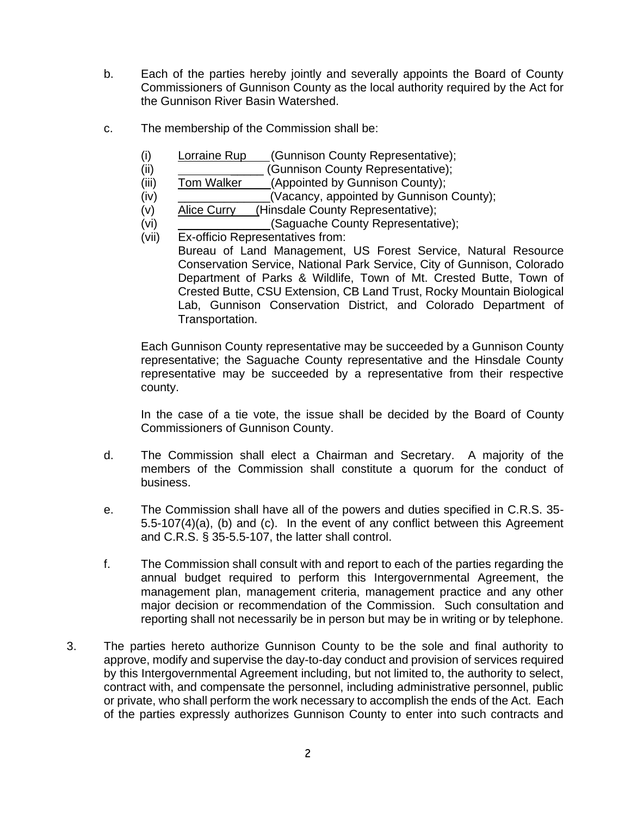- b. Each of the parties hereby jointly and severally appoints the Board of County Commissioners of Gunnison County as the local authority required by the Act for the Gunnison River Basin Watershed.
- c. The membership of the Commission shall be:
	- (i) Lorraine Rup (Gunnison County Representative);
	- (ii) \_\_\_\_\_\_\_\_\_\_\_\_\_\_\_\_\_(Gunnison County Representative);
	- (iii) Tom Walker (Appointed by Gunnison County);
	- (iv) \_\_\_\_\_\_\_\_\_\_\_\_\_\_(Vacancy, appointed by Gunnison County);
	- (v) Alice Curry\_\_\_(Hinsdale County Representative);
	- (vi) \_\_\_\_\_\_\_\_\_\_\_\_\_\_(Saguache County Representative);
	- (vii) Ex-officio Representatives from: Bureau of Land Management, US Forest Service, Natural Resource Conservation Service, National Park Service, City of Gunnison, Colorado Department of Parks & Wildlife, Town of Mt. Crested Butte, Town of Crested Butte, CSU Extension, CB Land Trust, Rocky Mountain Biological Lab, Gunnison Conservation District, and Colorado Department of Transportation.

Each Gunnison County representative may be succeeded by a Gunnison County representative; the Saguache County representative and the Hinsdale County representative may be succeeded by a representative from their respective county.

In the case of a tie vote, the issue shall be decided by the Board of County Commissioners of Gunnison County.

- d. The Commission shall elect a Chairman and Secretary. A majority of the members of the Commission shall constitute a quorum for the conduct of business.
- e. The Commission shall have all of the powers and duties specified in C.R.S. 35- 5.5-107(4)(a), (b) and (c). In the event of any conflict between this Agreement and C.R.S. § 35-5.5-107, the latter shall control.
- f. The Commission shall consult with and report to each of the parties regarding the annual budget required to perform this Intergovernmental Agreement, the management plan, management criteria, management practice and any other major decision or recommendation of the Commission. Such consultation and reporting shall not necessarily be in person but may be in writing or by telephone.
- 3. The parties hereto authorize Gunnison County to be the sole and final authority to approve, modify and supervise the day-to-day conduct and provision of services required by this Intergovernmental Agreement including, but not limited to, the authority to select, contract with, and compensate the personnel, including administrative personnel, public or private, who shall perform the work necessary to accomplish the ends of the Act. Each of the parties expressly authorizes Gunnison County to enter into such contracts and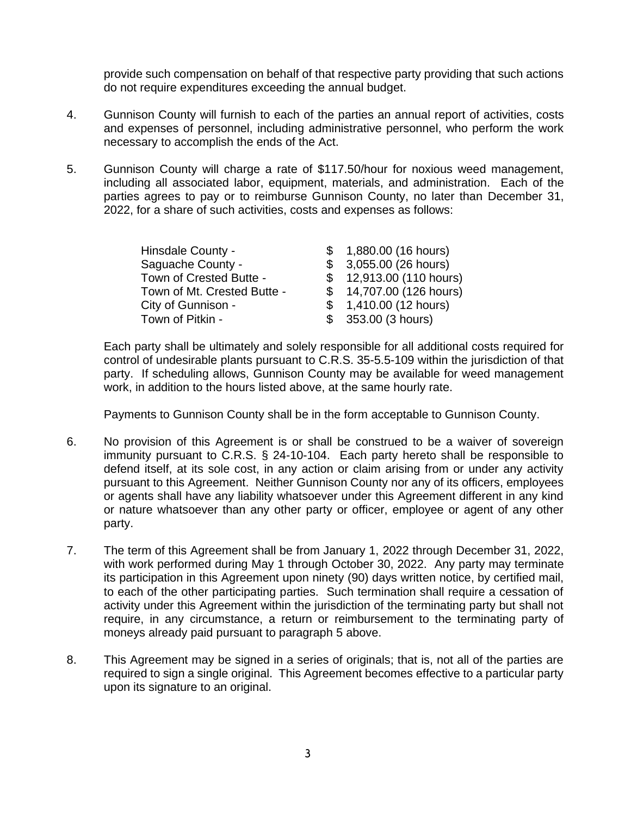provide such compensation on behalf of that respective party providing that such actions do not require expenditures exceeding the annual budget.

- 4. Gunnison County will furnish to each of the parties an annual report of activities, costs and expenses of personnel, including administrative personnel, who perform the work necessary to accomplish the ends of the Act.
- 5. Gunnison County will charge a rate of \$117.50/hour for noxious weed management, including all associated labor, equipment, materials, and administration. Each of the parties agrees to pay or to reimburse Gunnison County, no later than December 31, 2022, for a share of such activities, costs and expenses as follows:

| Hinsdale County -           | \$1,880.00(16 hours)     |
|-----------------------------|--------------------------|
| Saguache County -           | \$3,055.00 (26 hours)    |
| Town of Crested Butte -     | \$12,913.00 (110 hours)  |
| Town of Mt. Crested Butte - | \$ 14,707.00 (126 hours) |
| City of Gunnison -          | \$1,410.00(12 hours)     |
| Town of Pitkin -            | \$353.00 (3 hours)       |

Each party shall be ultimately and solely responsible for all additional costs required for control of undesirable plants pursuant to C.R.S. 35-5.5-109 within the jurisdiction of that party. If scheduling allows, Gunnison County may be available for weed management work, in addition to the hours listed above, at the same hourly rate.

Payments to Gunnison County shall be in the form acceptable to Gunnison County.

- 6. No provision of this Agreement is or shall be construed to be a waiver of sovereign immunity pursuant to C.R.S. § 24-10-104. Each party hereto shall be responsible to defend itself, at its sole cost, in any action or claim arising from or under any activity pursuant to this Agreement. Neither Gunnison County nor any of its officers, employees or agents shall have any liability whatsoever under this Agreement different in any kind or nature whatsoever than any other party or officer, employee or agent of any other party.
- 7. The term of this Agreement shall be from January 1, 2022 through December 31, 2022, with work performed during May 1 through October 30, 2022. Any party may terminate its participation in this Agreement upon ninety (90) days written notice, by certified mail, to each of the other participating parties. Such termination shall require a cessation of activity under this Agreement within the jurisdiction of the terminating party but shall not require, in any circumstance, a return or reimbursement to the terminating party of moneys already paid pursuant to paragraph 5 above.
- 8. This Agreement may be signed in a series of originals; that is, not all of the parties are required to sign a single original. This Agreement becomes effective to a particular party upon its signature to an original.